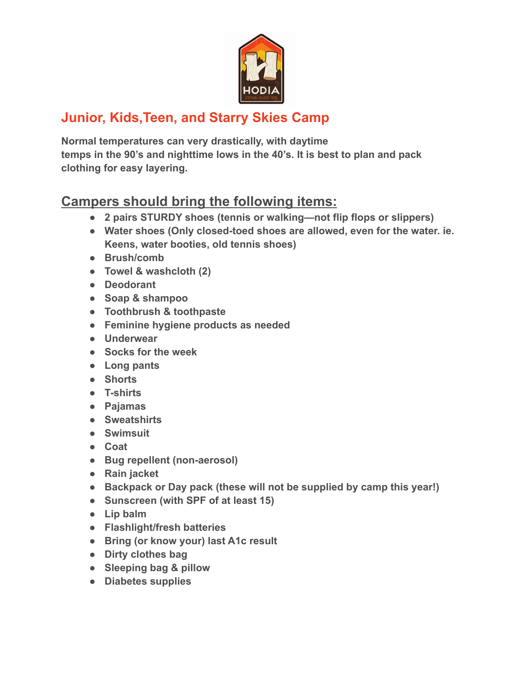

## **Junior, Kids,Teen, and Starry Skies Camp**

**Normal temperatures can very drastically, with daytime temps in the 90's and nighttime lows in the 40's. It is best to plan and pack clothing for easy layering.**

## **Campers should bring the following items:**

- **● 2 pairs STURDY shoes (tennis or walking—not flip flops or slippers)**
- **● Water shoes (Only closed-toed shoes are allowed, even for the water. ie. Keens, water booties, old tennis shoes)**
- **● Brush/comb**
- **● Towel & washcloth (2)**
- **● Deodorant**
- **● Soap & shampoo**
- **● Toothbrush & toothpaste**
- **● Feminine hygiene products as needed**
- **● Underwear**
- **● Socks for the week**
- **● Long pants**
- **● Shorts**
- **● T-shirts**
- **● Pajamas**
- **● Sweatshirts**
- **● Swimsuit**
- **● Coat**
- **● Bug repellent (non-aerosol)**
- **● Rain jacket**
- **● Backpack or Day pack (these will not be supplied by camp this year!)**
- **● Sunscreen (with SPF of at least 15)**
- **● Lip balm**
- **● Flashlight/fresh batteries**
- **● Bring (or know your) last A1c result**
- **● Dirty clothes bag**
- **● Sleeping bag & pillow**
- **● Diabetes supplies**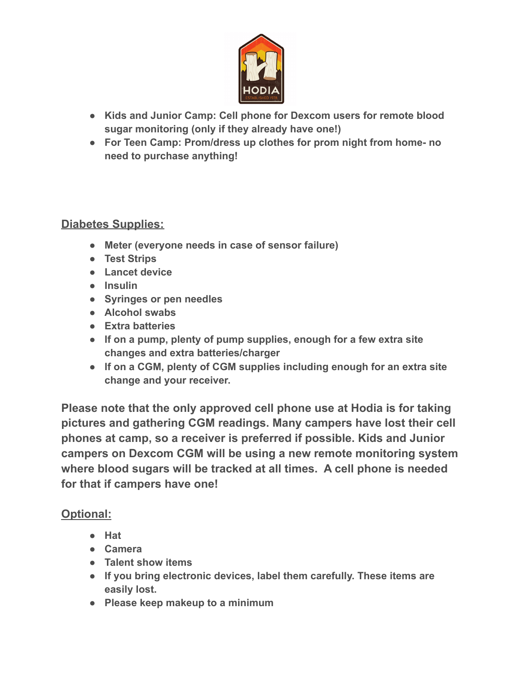

- **● Kids and Junior Camp: Cell phone for Dexcom users for remote blood sugar monitoring (only if they already have one!)**
- **● For Teen Camp: Prom/dress up clothes for prom night from home- no need to purchase anything!**

## **Diabetes Supplies:**

- **● Meter (everyone needs in case of sensor failure)**
- **● Test Strips**
- **● Lancet device**
- **● Insulin**
- **● Syringes or pen needles**
- **● Alcohol swabs**
- **● Extra batteries**
- **● If on a pump, plenty of pump supplies, enough for a few extra site changes and extra batteries/charger**
- **● If on a CGM, plenty of CGM supplies including enough for an extra site change and your receiver.**

**Please note that the only approved cell phone use at Hodia is for taking pictures and gathering CGM readings. Many campers have lost their cell phones at camp, so a receiver is preferred if possible. Kids and Junior campers on Dexcom CGM will be using a new remote monitoring system where blood sugars will be tracked at all times. A cell phone is needed for that if campers have one!**

## **Optional:**

- **● Hat**
- **● Camera**
- **● Talent show items**
- **● If you bring electronic devices, label them carefully. These items are easily lost.**
- **● Please keep makeup to a minimum**